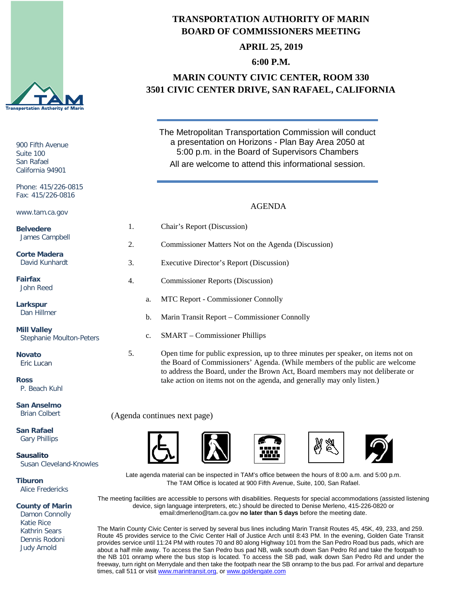

900 Fifth Avenue Suite 100 San Rafael California 94901

Phone: 415/226-0815 Fax: 415/226-0816

www.tam.ca.gov

**Belvedere** James Campbell

**Corte Madera** David Kunhardt

**Fairfax** John Reed

**Larkspur** Dan Hillmer

**Mill Valley** Stephanie Moulton-Pet

**Novato** Eric Lucan

**Ross** P. Beach Kuhl

**San Anselmo** Brian Colbert

**San Rafael** Gary Phillips

**Sausalito**

Susan Cleveland-Knowles

**Tiburon** Alice Fredericks

**County of Marin**

 Damon Connolly Katie Rice Kathrin Sears Dennis Rodoni Judy Arnold

# **TRANSPORTATION AUTHORITY OF MARIN BOARD OF COMMISSIONERS MEETING**

**APRIL 25, 2019**

### **6:00 P.M.**

# **MARIN COUNTY CIVIC CENTER, ROOM 330 3501 CIVIC CENTER DRIVE, SAN RAFAEL, CALIFORNIA**

The Metropolitan Transportation Commission will conduct a presentation on Horizons - Plan Bay Area 2050 at 5:00 p.m. in the Board of Supervisors Chambers All are welcome to attend this informational session.

#### AGENDA

|     | 1. |             | Chair's Report (Discussion)                         |
|-----|----|-------------|-----------------------------------------------------|
|     | 2. |             | Commissioner Matters Not on the Agenda (Discussion) |
|     | 3. |             | Executive Director's Report (Discussion)            |
|     | 4. |             | <b>Commissioner Reports (Discussion)</b>            |
|     |    | a.          | <b>MTC Report - Commissioner Connolly</b>           |
|     |    | b.          | Marin Transit Report – Commissioner Connolly        |
| ers |    | $c_{\cdot}$ | <b>SMART</b> – Commissioner Phillips                |

5. Open time for public expression, up to three minutes per speaker, on items not on the Board of Commissioners' Agenda. (While members of the public are welcome to address the Board, under the Brown Act, Board members may not deliberate or take action on items not on the agenda, and generally may only listen.)

(Agenda continues next page)





Late agenda material can be inspected in TAM's office between the hours of 8:00 a.m. and 5:00 p.m. The TAM Office is located at 900 Fifth Avenue, Suite, 100, San Rafael.

The meeting facilities are accessible to persons with disabilities. Requests for special accommodations (assisted listening device, sign language interpreters, etc.) should be directed to Denise Merleno, 415-226-0820 or email:dmerleno@tam.ca.gov **no later than 5 days** before the meeting date.

The Marin County Civic Center is served by several bus lines including Marin Transit Routes 45, 45K, 49, 233, and 259. Route 45 provides service to the Civic Center Hall of Justice Arch until 8:43 PM. In the evening, Golden Gate Transit provides service until 11:24 PM with routes 70 and 80 along Highway 101 from the San Pedro Road bus pads, which are about a half mile away. To access the San Pedro bus pad NB, walk south down San Pedro Rd and take the footpath to the NB 101 onramp where the bus stop is located. To access the SB pad, walk down San Pedro Rd and under the freeway, turn right on Merrydale and then take the footpath near the SB onramp to the bus pad. For arrival and departure times, call 511 or visit [www.marintransit.org,](file://tamfs2/tam/03.%20TAM%20BOARDS%20&%20COMMITTEES/03.01%20TAM%20Board/03.01.03%20Board%20Packets/www.marintransit.org) o[r www.goldengate.com](file://tamfs2/tam/03.%20TAM%20BOARDS%20&%20COMMITTEES/03.01%20TAM%20Board/03.01.03%20Board%20Packets/www.goldengate.com)